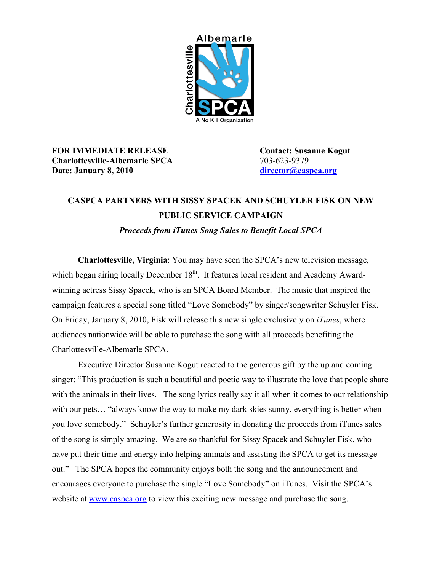

## **FOR IMMEDIATE RELEASE Contact: Susanne Kogut Charlottesville-Albemarle SPCA** 703-623-9379 **Date: January 8, 2010 [director@caspca.org](mailto:director@caspca.org)**

## **CASPCA PARTNERS WITH SISSY SPACEK AND SCHUYLER FISK ON NEW PUBLIC SERVICE CAMPAIGN**

*Proceeds from iTunes Song Sales to Benefit Local SPCA*

**Charlottesville, Virginia**: You may have seen the SPCA's new television message, which began airing locally December  $18<sup>th</sup>$ . It features local resident and Academy Awardwinning actress Sissy Spacek, who is an SPCA Board Member. The music that inspired the campaign features a special song titled "Love Somebody" by singer/songwriter Schuyler Fisk. On Friday, January 8, 2010, Fisk will release this new single exclusively on *iTunes*, where audiences nationwide will be able to purchase the song with all proceeds benefiting the Charlottesville-Albemarle SPCA.

Executive Director Susanne Kogut reacted to the generous gift by the up and coming singer: "This production is such a beautiful and poetic way to illustrate the love that people share with the animals in their lives. The song lyrics really say it all when it comes to our relationship with our pets... "always know the way to make my dark skies sunny, everything is better when you love somebody." Schuyler's further generosity in donating the proceeds from iTunes sales of the song is simply amazing. We are so thankful for Sissy Spacek and Schuyler Fisk, who have put their time and energy into helping animals and assisting the SPCA to get its message out." The SPCA hopes the community enjoys both the song and the announcement and encourages everyone to purchase the single "Love Somebody" on iTunes. Visit the SPCA's website at [www.caspca.org](http://www.caspca.org) to view this exciting new message and purchase the song.